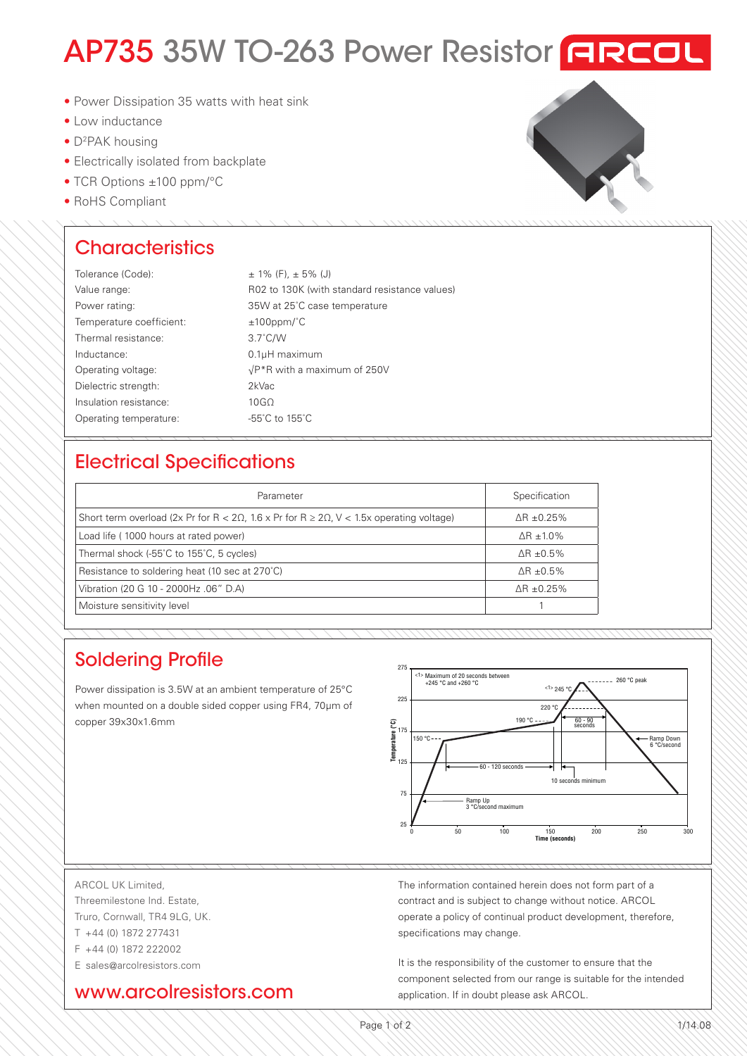# AP735 35W TO-263 Power Resistor FREEL

- Power Dissipation 35 watts with heat sink
- Low inductance
- D<sup>2</sup>PAK housing
- Electrically isolated from backplate
- TCR Options ±100 ppm/°C
- RoHS Compliant

## **Characteristics**

| Tolerance (Code):        | $\pm$ 1% (F), $\pm$ 5% (J)                    |
|--------------------------|-----------------------------------------------|
| Value range:             | R02 to 130K (with standard resistance values) |
| Power rating:            | 35W at 25°C case temperature                  |
| Temperature coefficient: | $±100$ ppm/ $°C$                              |
| Thermal resistance:      | $3.7^{\circ}$ C/W                             |
| Inductance:              | $0.1$ µH maximum                              |
| Operating voltage:       | $\sqrt{P^*R}$ with a maximum of 250V          |
| Dielectric strength:     | 2kVac                                         |
| Insulation resistance:   | 10G <sub>O</sub>                              |
| Operating temperature:   | -55°C to 155°C                                |

## Electrical Specifications

| Parameter                                                                                                      | Specification     |
|----------------------------------------------------------------------------------------------------------------|-------------------|
| Short term overload (2x Pr for R < 2 $\Omega$ , 1.6 x Pr for R $\geq$ 2 $\Omega$ , V < 1.5x operating voltage) | $AR + 0.25\%$     |
| Load life (1000 hours at rated power)                                                                          | $\Delta$ R ± 1.0% |
| Thermal shock (-55°C to 155°C, 5 cycles)                                                                       | $\Delta$ R ±0.5%  |
| Resistance to soldering heat (10 sec at 270°C)                                                                 | ΔR ±0.5%          |
| Vibration (20 G 10 - 2000Hz .06" D.A)                                                                          | $\Delta$ R ±0.25% |
| Moisture sensitivity level                                                                                     |                   |

## Soldering Profile

Power dissipation is 3.5W at an ambient temperature of 25°C when mounted on a double sided copper using FR4, 70μm of copper 39x30x1.6mm



COPLANARITY: (0.004) SURFACE

#### ARCOL UK Limited, Threemilestone Ind. Estate, Truro, Cornwall, TR4 9LG, UK. T +44 (0) 1872 277431

F +44 (0) 1872 222002

E sales@arcolresistors.com

### www.arcolresistors.com

The information contained herein does not form part of a contract and is subject to change without notice. ARCOL operate a policy of continual product development, therefore, specifications may change. Specifi cations are subject to change without notice.

double-sided copper board using FR4 standard, 70 µm of copper, 39 x 30 x 1.6 mm.

It is the responsibility of the customer to ensure that the component selected from our range is suitable for the intended application. If in doubt please ask ARCOL.